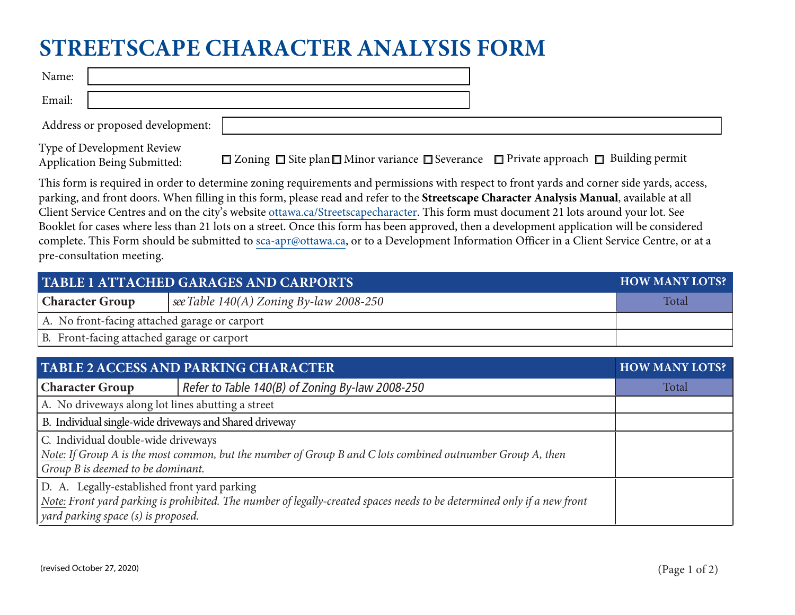## **STREETSCAPE CHARACTER ANALYSIS FORM**

Email:

Address or proposed development:

Type of Development Review Application Being Submitted:

 $\Box$  Zoning  $\Box$  Site plan  $\Box$  Minor variance  $\Box$  Severance  $\Box$  Private approach  $\Box$  Building permit

This form is required in order to determine zoning requirements and permissions with respect to front yards and corner side yards, access, parking, and front doors. When filling in this form, please read and refer to the **Streetscape Character Analysis Manual**, available at all Client Service Centres and on the city's website <u>[ottawa.ca/Streetscapecharacter](http://www.ottawa.ca/Streetscapecharacter)</u>. This form must document 21 lots around your lot. See Booklet for cases where less than 21 lots on a street. Once this form has been approved, then a development application will be considered complete. This Form should be submitted to <u>[sca-apr@ottawa.ca](mailto:sca-apr@ottawa.ca),</u> or to a Development Information Officer in a Client Service Centre, or at a pre-consultation meeting.

| <b>TABLE 1 ATTACHED GARAGES AND CARPORTS</b>  | <b>HOW MANY LOTS?</b>                     |       |  |  |  |
|-----------------------------------------------|-------------------------------------------|-------|--|--|--|
| <b>Character Group</b>                        | see Table $140(A)$ Zoning By-law 2008-250 | Total |  |  |  |
| A. No front-facing attached garage or carport |                                           |       |  |  |  |
| B. Front-facing attached garage or carport    |                                           |       |  |  |  |

| <b>TABLE 2 ACCESS AND PARKING CHARACTER</b>                                                                                                                                                                            | <b>HOW MANY LOTS?</b>                           |       |
|------------------------------------------------------------------------------------------------------------------------------------------------------------------------------------------------------------------------|-------------------------------------------------|-------|
| <b>Character Group</b>                                                                                                                                                                                                 | Refer to Table 140(B) of Zoning By-law 2008-250 | Total |
| A. No driveways along lot lines abutting a street                                                                                                                                                                      |                                                 |       |
| B. Individual single-wide driveways and Shared driveway                                                                                                                                                                |                                                 |       |
| C. Individual double-wide driveways<br>Note: If Group A is the most common, but the number of Group B and C lots combined outnumber Group A, then<br>$\vert$ Group B is deemed to be dominant.                         |                                                 |       |
| D. A. Legally-established front yard parking<br>Note: Front yard parking is prohibited. The number of legally-created spaces needs to be determined only if a new front<br>$\vert$ yard parking space (s) is proposed. |                                                 |       |